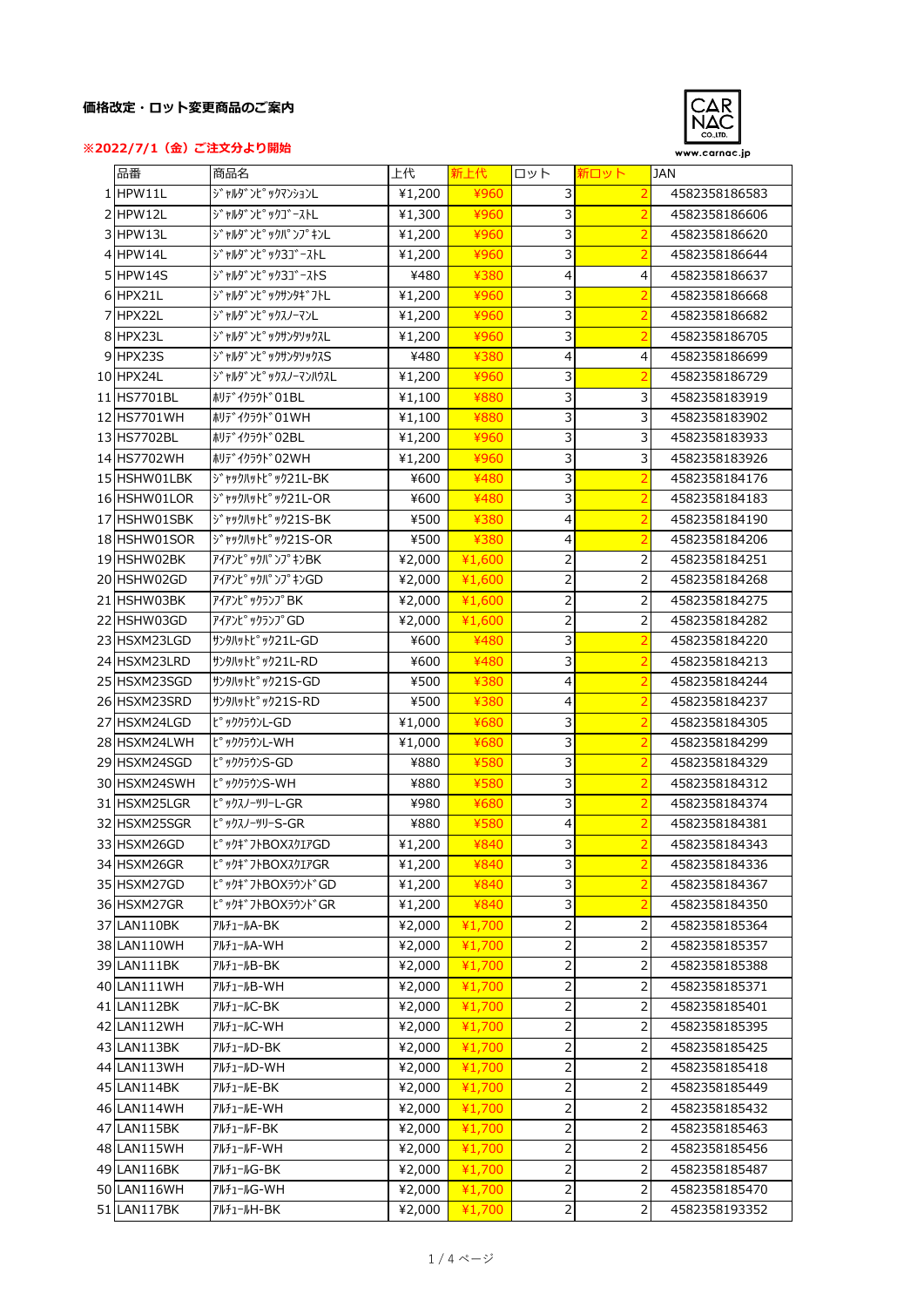## **価格改定・ロット変更商品のご案内**





| 品番           | 商品名                                      | 上代     | 新上代    | ロット                     | 新ロット           | <b>JAN</b>                     |
|--------------|------------------------------------------|--------|--------|-------------------------|----------------|--------------------------------|
| 1 HPW11L     | y'rky')t° yクマンションL                       | ¥1,200 | ¥960   | 3                       | $\overline{2}$ | 4582358186583                  |
| 2 HPW12L     | ジャルダンピックゴーストL                            | ¥1,300 | ¥960   | 3                       |                | 4582358186606                  |
| 3 HPW13L     | ジャルダンピックパンプキンL                           | ¥1,200 | ¥960   | 3                       |                | 4582358186620                  |
| 4 HPW14L     | ジャルダンピック3ゴーストL                           | ¥1,200 | ¥960   | 3                       |                | 4582358186644                  |
| 5 HPW14S     | ジャルダンピック3ゴーストS                           | ¥480   | ¥380   | $\overline{4}$          | 4              | 4582358186637                  |
| 6 HPX21L     | ジャルダンピックサンタギフトL                          | ¥1,200 | ¥960   | 3                       | 2              | 4582358186668                  |
| 7 HPX22L     | ジャルダンピックスノーマンL                           | ¥1,200 | ¥960   | 3                       | $\overline{2}$ | 4582358186682                  |
| 8 HPX23L     | ジャルダンピックサンタソックスL                         | ¥1,200 | ¥960   | 3                       | $\overline{2}$ | 4582358186705                  |
| 9 HPX23S     | ジャルダンピックサンタソックスS                         | ¥480   | ¥380   | 4                       | 4              | 4582358186699                  |
| 10 HPX24L    | ジャルダンピックスノーマンハウスL                        | ¥1,200 | ¥960   | 3                       |                | 4582358186729                  |
| 11 HS7701BL  | ホリテ <sup>*</sup> イクラウト <sup>*</sup> O1BL | ¥1,100 | ¥880   | 3                       | 3              | 4582358183919                  |
| 12 HS7701WH  | #リデイクラウド01WH                             | ¥1,100 | ¥880   | 3                       | 3              | 4582358183902                  |
| 13 HS7702BL  | ホリデイクラウド02BL                             | ¥1,200 | ¥960   | 3                       | 3              | 4582358183933                  |
| 14 HS7702WH  | ホリデイクラウド02WH                             | ¥1,200 | ¥960   | 3                       | 3              | 4582358183926                  |
| 15 HSHW01LBK | ジャックハットピック21L-BK                         | ¥600   | ¥480   | 3                       | $\overline{2}$ | 4582358184176                  |
| 16 HSHW01LOR | ジャックルットピック21L-OR                         | ¥600   | ¥480   | 3                       | 2              | 4582358184183                  |
| 17 HSHW01SBK | ジャックルットピック21S-BK                         | ¥500   | ¥380   | 4                       | 2              | 4582358184190                  |
| 18 HSHW01SOR | ジャックルットピック21S-OR                         | ¥500   | ¥380   | 4                       | $\overline{2}$ | 4582358184206                  |
| 19 HSHW02BK  | アイアンピックパ ンプ キンBK                         | ¥2,000 | ¥1,600 | 2                       | $\overline{2}$ | 4582358184251                  |
| 20 HSHW02GD  | アイアンピックパンプキンGD                           | ¥2,000 | ¥1,600 | $\overline{2}$          | 2              | 4582358184268                  |
| 21 HSHW03BK  |                                          |        |        |                         |                |                                |
| 22 HSHW03GD  | アイアンピ <sup>。</sup> ックランプBK               | ¥2,000 | ¥1,600 |                         | 2              | 4582358184275                  |
|              | アイアンピックランプGD                             | ¥2,000 | ¥1,600 | 2                       | 2              | 4582358184282                  |
| 23 HSXM23LGD | サンタルットピック21L-GD                          | ¥600   | ¥480   | 3                       | 2              | 4582358184220                  |
| 24 HSXM23LRD | サンタルットピ <sup>。</sup> ック21L-RD            | ¥600   | ¥480   | 3                       |                | 4582358184213                  |
| 25 HSXM23SGD | サンタルットピック21S-GD                          | ¥500   | ¥380   | 4                       |                | 4582358184244                  |
| 26 HSXM23SRD | サンタルットピ <sup>。</sup> ック21S-RD            | ¥500   | ¥380   | 4                       |                | 4582358184237                  |
| 27 HSXM24LGD | ピッククラウンL-GD                              | ¥1,000 | ¥680   | 3                       |                | 4582358184305                  |
| 28 HSXM24LWH | ピッククラウンL-WH                              | ¥1,000 | ¥680   | 3                       | 2              | 4582358184299                  |
| 29 HSXM24SGD | ピッククラウンS-GD                              | ¥880   | ¥580   | 3                       | 2              | 4582358184329<br>4582358184312 |
| 30 HSXM24SWH | ピッククラウンS-WH                              | ¥880   | ¥580   | 3                       |                |                                |
| 31 HSXM25LGR | ピックスノーツリーL-GR                            | ¥980   | ¥680   | 3                       |                | 4582358184374                  |
| 32 HSXM25SGR | ピックスノーツリーS-GR                            | ¥880   | ¥580   | 4                       |                | 4582358184381                  |
| 33 HSXM26GD  | ピックギフトBOXスクエアGD                          | ¥1,200 | ¥840   | 3                       |                | 4582358184343                  |
| 34 HSXM26GR  | ピックギフトBOXスクエアGR                          | ¥1,200 | ¥840   | 3                       | $\overline{2}$ | 4582358184336                  |
| 35 HSXM27GD  | ピックギフトBOXラウンドGD                          | ¥1,200 | ¥840   | 3                       |                | 4582358184367                  |
| 36 HSXM27GR  | ピックギフトBOXラウンドGR                          | ¥1,200 | ¥840   | 3                       | $\overline{2}$ | 4582358184350                  |
| 37 LAN110BK  | アルチュールA-BK                               | ¥2,000 | ¥1,700 | $\overline{\mathbf{c}}$ | $\mathsf{2}\,$ | 4582358185364                  |
| 38 LAN110WH  | アルチュールA-WH                               | ¥2,000 | ¥1,700 | 2                       | $\overline{c}$ | 4582358185357                  |
| 39 LAN111BK  | アルチュールB-BK                               | ¥2,000 | ¥1,700 | 2                       | $\mathsf{2}\,$ | 4582358185388                  |
| 40 LAN111WH  | アルチュールB-WH                               | ¥2,000 | ¥1,700 | 2                       | 2              | 4582358185371                  |
| 41 LAN112BK  | アルチュールC-BK                               | ¥2,000 | ¥1,700 | 2                       | 2              | 4582358185401                  |
| 42 LAN112WH  | アルチュールC-WH                               | ¥2,000 | 41,700 | 2                       | 2              | 4582358185395                  |
| 43 LAN113BK  | アルチュールD-BK                               | ¥2,000 | ¥1,700 | $\overline{\mathbf{c}}$ |                | 4582358185425                  |
| 44 LAN113WH  | アルチュールD-WH                               | ¥2,000 | ¥1,700 | 2                       | $\overline{2}$ | 4582358185418                  |
| 45 LAN114BK  | アルチュールE-BK                               | ¥2,000 | ¥1,700 |                         | $\mathsf{2}\,$ | 4582358185449                  |
| 46 LAN114WH  | アルチュールE-WH                               | ¥2,000 | ¥1,700 | $\mathbf 2$             | $\mathsf{2}\,$ | 4582358185432                  |
| 47 LAN115BK  | アルチュールF-BK                               | ¥2,000 | ¥1,700 | 2                       | $\overline{2}$ | 4582358185463                  |
| 48 LAN115WH  | アルチュールF-WH                               | ¥2,000 | ¥1,700 | $\overline{\mathbf{c}}$ | $\mathsf{2}\,$ | 4582358185456                  |
| 49 LAN116BK  | アルチュールG-BK                               | ¥2,000 | ¥1,700 | 2                       | 2              | 4582358185487                  |
| 50 LAN116WH  | アルチュールG-WH                               | ¥2,000 | ¥1,700 | 2                       | $\overline{2}$ | 4582358185470                  |
| 51 LAN117BK  | アルチュールH-BK                               | ¥2,000 | ¥1,700 | 2                       | $\overline{2}$ | 4582358193352                  |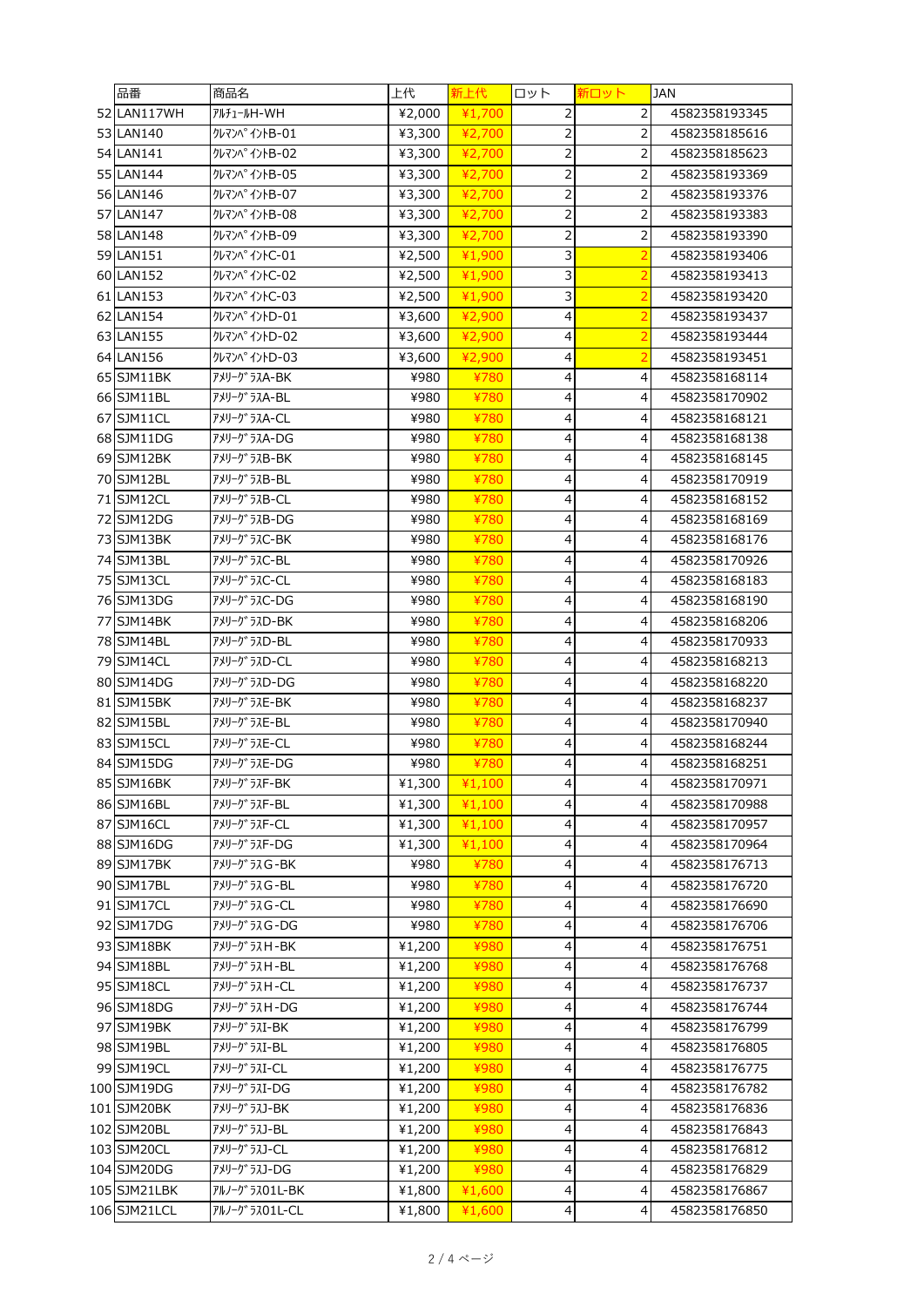| 品番                       | 商品名                         | 上代           | 新上代          | ロット            | 新ロット           | <b>JAN</b>                     |
|--------------------------|-----------------------------|--------------|--------------|----------------|----------------|--------------------------------|
| 52 LAN117WH              | アルチュールH-WH                  | ¥2,000       | ¥1,700       | 2              | 2              | 4582358193345                  |
| 53 LAN140                | クレマンペイントB-01                | ¥3,300       | ¥2,700       | 2              | $\overline{2}$ | 4582358185616                  |
| 54 LAN141                | <b>クレマンペイントB-02</b>         | ¥3,300       | ¥2,700       | 2              | $\overline{2}$ | 4582358185623                  |
| 55 LAN144                | クレマン ヘ <sup>°</sup> イントB-05 | ¥3,300       | ¥2,700       | 2              | 2              | 4582358193369                  |
| 56 LAN146                | クレマンペイントB-07                | ¥3,300       | ¥2,700       | 2              | 2              | 4582358193376                  |
| 57 LAN147                | クレマンペイントB-08                | ¥3,300       | ¥2,700       | $\overline{c}$ | 2              | 4582358193383                  |
| 58 LAN148                | クレマンペイントB-09                | ¥3,300       | ¥2,700       | 2              | 2              | 4582358193390                  |
| 59 LAN151                | クレマンペイントC-01                | ¥2,500       | ¥1,900       | 3              | $\overline{2}$ | 4582358193406                  |
| 60 LAN152                | <b>クレマンペイントC-02</b>         | ¥2,500       | ¥1,900       | 3              | $\overline{2}$ | 4582358193413                  |
| 61 LAN153                | クレマン ^ イントC-03              | ¥2,500       | ¥1,900       | 3              | $\overline{2}$ | 4582358193420                  |
| 62 LAN154                | クレマン ^ イントD-01              | ¥3,600       | ¥2,900       | 4              | $\overline{2}$ | 4582358193437                  |
| 63 LAN155                | クレマンペイントD-02                | ¥3,600       | ¥2,900       | 4              | 2              | 4582358193444                  |
| 64 LAN156                | クレマンヘ°イントD-03               | ¥3,600       | ¥2,900       | 4              | 2              | 4582358193451                  |
| 65 SJM11BK               | アメリーク゛ラスA-BK                | ¥980         | ¥780         | 4              | 4              | 4582358168114                  |
| 66 SJM11BL               | アメリーク゛ラスA-BL                | ¥980         | ¥780         | $\overline{4}$ | 4              | 4582358170902                  |
| 67 SJM11CL               | アメリーク゛ラスA-CL                | ¥980         | ¥780         | 4              | 4              | 4582358168121                  |
| 68 SJM11DG               | アメリーグラスA-DG                 | ¥980         | ¥780         | 4              | 4              | 4582358168138                  |
| 69 SJM12BK               | アメリーグラスB-BK                 | ¥980         | ¥780         | 4              | 4              | 4582358168145                  |
| 70 SJM12BL               | アメリーク ラスB-BL                | ¥980         | ¥780         | 4              | 4              | 4582358170919                  |
| 71 SJM12CL               | アメリーク ラスB-CL                | ¥980         | ¥780         | 4              | 4              | 4582358168152                  |
| 72 SJM12DG               | アメリーグラスB-DG                 | ¥980         | ¥780         | 4              | 4              | 4582358168169                  |
| 73 SJM13BK               | アメリーク゛ラスC-BK                | ¥980         | ¥780         | 4              | 4              | 4582358168176                  |
| 74 SJM13BL               | アメリーグラスC-BL                 | ¥980         | ¥780         | 4              | 4              | 4582358170926                  |
| 75 SJM13CL               | アメリーグ ラスC-CL                | ¥980         | ¥780         | 4              | 4              | 4582358168183                  |
| 76 SJM13DG               | アメリーク うスC-DG                | ¥980         | ¥780         | 4              | 4              | 4582358168190                  |
| 77 SJM14BK               | アメリーク ラスD-BK                | ¥980         | ¥780         | $\overline{4}$ | 4              | 4582358168206                  |
| 78 SJM14BL               | アメリーク うスD-BL                | ¥980         | ¥780         | 4              | 4              | 4582358170933                  |
|                          | アメリーク <sup>*</sup> ラスD-CL   |              |              |                |                |                                |
| 79 SJM14CL<br>80 SJM14DG | アメリーク ラスD-DG                | ¥980<br>¥980 | ¥780<br>¥780 | 4<br>4         | 4<br>4         | 4582358168213<br>4582358168220 |
| 81 SJM15BK               | アメリーク゛ラスE-BK                | ¥980         | ¥780         | 4              | 4              | 4582358168237                  |
| 82 SJM15BL               | アメリーク うスE-BL                | ¥980         | ¥780         | 4              | 4              | 4582358170940                  |
| 83 SJM15CL               | アメリーク <sup>*</sup> ラスE-CL   | ¥980         | ¥780         | 4              | 4              | 4582358168244                  |
| 84 SJM15DG               | アメリーク゛ラスE-DG                | ¥980         | ¥780         | 4              | 4              | 4582358168251                  |
|                          |                             |              |              |                |                |                                |
| 85 SJM16BK               | アメリーグラスF-BK                 | ¥1,300       | ¥1,100       | 4              | 4              | 4582358170971                  |
| 86 SJM16BL               | アメリーク ラスF-BL                | ¥1,300       | ¥1,100       | 4              | 4              | 4582358170988                  |
| 87 SJM16CL               | アメリーク ラスF-CL                | ¥1,300       | ¥1,100       | 4              | 4              | 4582358170957                  |
| 88 SJM16DG               | アメリーク゛ラスF-DG                | ¥1,300       | ¥1,100       | $\overline{4}$ | 4              | 4582358170964                  |
| 89 SJM17BK               | アメリーグラスG-BK                 | ¥980         | ¥780         | 4              | 4              | 4582358176713                  |
| 90 SJM17BL               | アメリーグラスG-BL                 | ¥980         | ¥780         | 4              | 4              | 4582358176720                  |
| 91 SJM17CL               | アメリーク うスG-CL                | ¥980         | ¥780         | $\overline{4}$ | 4              | 4582358176690                  |
| 92 SJM17DG               | アメリーグラスG-DG                 | ¥980         | ¥780         | 4              | 4              | 4582358176706                  |
| 93 SJM18BK               | アメリーグ ラスH-BK                | ¥1,200       | ¥980         | 4              | 4              | 4582358176751                  |
| 94 SJM18BL               | アメリーグラスH-BL                 | ¥1,200       | ¥980         | 4              | 4              | 4582358176768                  |
| 95 SJM18CL               | アメリーグラスH-CL                 | ¥1,200       | ¥980         | 4              | 4              | 4582358176737                  |
| 96 SJM18DG               | アメリーグラスH-DG                 | ¥1,200       | ¥980         | 4              | 4              | 4582358176744                  |
| 97 SJM19BK               | アメリーク゛ラスI-BK                | ¥1,200       | ¥980         | 4              | 4              | 4582358176799                  |
| 98 SJM19BL               | アメリーク゛ラスI-BL                | ¥1,200       | ¥980         | 4              | 4              | 4582358176805                  |
| 99 SJM19CL               | アメリーク゛ラスI-CL                | ¥1,200       | ¥980         | $\overline{4}$ | 4              | 4582358176775                  |
| 100 SJM19DG              | アメリーグ ラスI-DG                | ¥1,200       | ¥980         | 4              | 4              | 4582358176782                  |
| 101 SJM20BK              | アメリーク ラスJ-BK                | ¥1,200       | ¥980         | 4              | 4              | 4582358176836                  |
| 102 SJM20BL              | アメリーク ラスコーBL                | ¥1,200       | ¥980         | 4              | 4              | 4582358176843                  |
| 103 SJM20CL              | アメリーク゛ラスJ-CL                | ¥1,200       | ¥980         | 4              | 4              | 4582358176812                  |
| 104 SJM20DG              | アメリーク <sup>*</sup> ラスJ-DG   | ¥1,200       | ¥980         | 4              | 4              | 4582358176829                  |
| 105 SJM21LBK             | アルノーク゛ラス01L-BK              | ¥1,800       | ¥1,600       | 4              | 4              | 4582358176867                  |
| 106 SJM21LCL             | アルノーク うス01L-CL              | ¥1,800       | ¥1,600       | 4              | 4              | 4582358176850                  |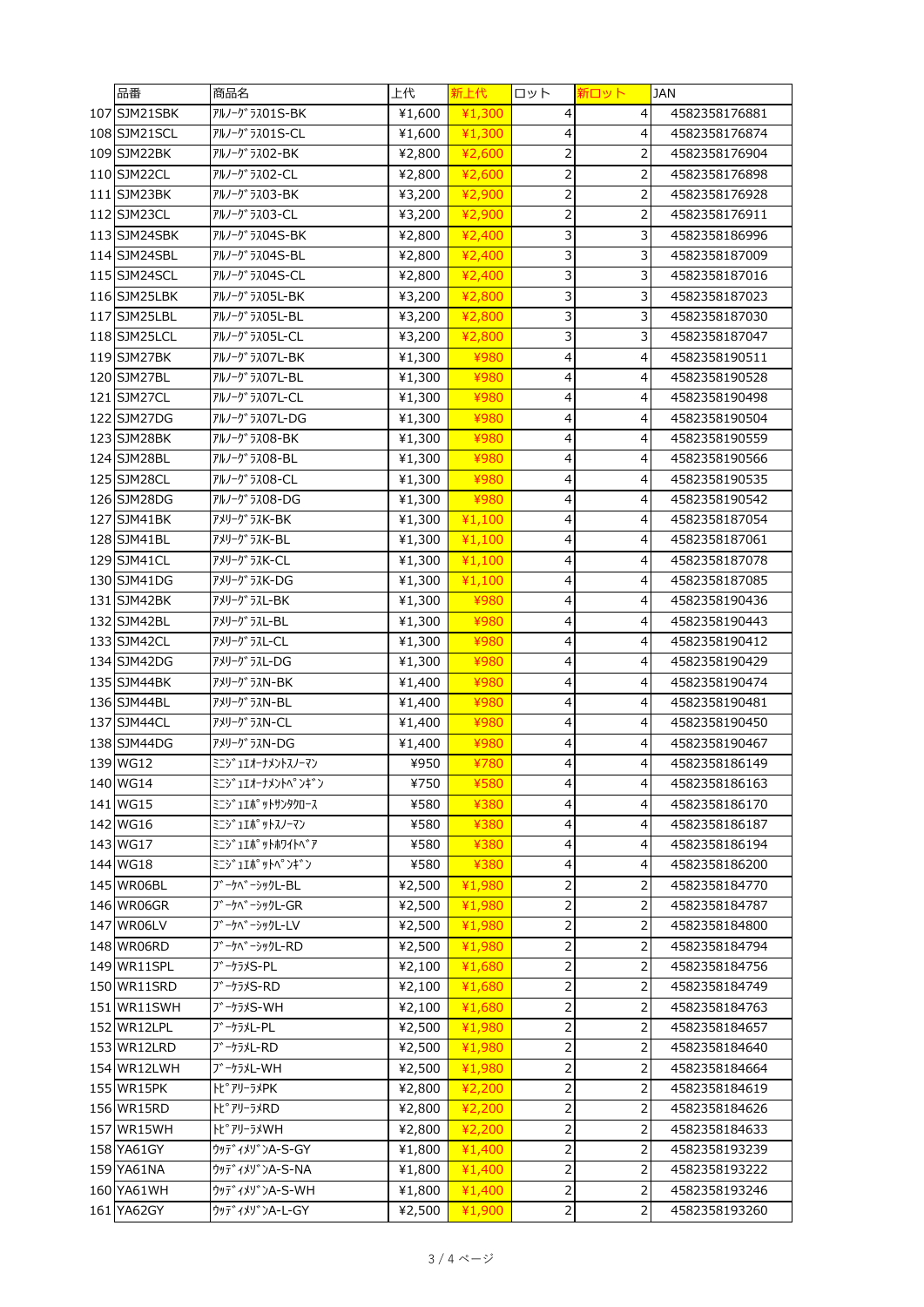| 品番           | 商品名                         | 上代     | 新上代    | ロット                      | 新ロット           | JAN           |
|--------------|-----------------------------|--------|--------|--------------------------|----------------|---------------|
| 107 SJM21SBK | アルノーク うス01S-BK              | ¥1,600 | ¥1,300 | 4                        | 4              | 4582358176881 |
| 108 SJM21SCL | アルノーク うス01S-CL              | ¥1,600 | ¥1,300 | 4                        | 4              | 4582358176874 |
| 109 SJM22BK  | アルノーク <sup>*</sup> ラスO2-BK  | ¥2,800 | ¥2,600 | $\overline{\mathbf{c}}$  | 2              | 4582358176904 |
| 110 SJM22CL  | アルノーク <sup>*</sup> ラスO2-CL  | ¥2,800 | ¥2,600 | 2                        | 2              | 4582358176898 |
| 111 SJM23BK  | アルノーク うス03-BK               | ¥3,200 | ¥2,900 | $\overline{c}$           | 2              | 4582358176928 |
| 112 SJM23CL  | アルノーク うス03-CL               | ¥3,200 | ¥2,900 | 2                        | 2              | 4582358176911 |
| 113 SJM24SBK | アルノーク うス04S-BK              | ¥2,800 | ¥2,400 | 3                        | 3              | 4582358186996 |
| 114 SJM24SBL | アルノーク <sup>*</sup> ラス04S-BL | ¥2,800 | ¥2,400 | 3                        | 3              | 4582358187009 |
| 115 SJM24SCL | アルノーク うス04S-CL              | ¥2,800 | ¥2,400 | 3                        | 3              | 4582358187016 |
| 116 SJM25LBK | アルノーク゛ラス05L-BK              | ¥3,200 | ¥2,800 | 3                        | 3              | 4582358187023 |
| 117 SJM25LBL | アルノーク゛ラス05L-BL              | ¥3,200 | ¥2,800 | 3                        | 3              | 4582358187030 |
| 118 SJM25LCL | アルノーク゛ラスO5L-CL              | ¥3,200 | ¥2,800 | 3                        | 3              | 4582358187047 |
| 119 SJM27BK  | アルノーク゛ラス07L-BK              | ¥1,300 | ¥980   | 4                        | 4              | 4582358190511 |
| 120 SJM27BL  | アルノーク <sup>*</sup> ラスO7L-BL | ¥1,300 | ¥980   | $\overline{\mathcal{L}}$ | 4              | 4582358190528 |
| 121 SJM27CL  | アルノーク゛ラス07L-CL              | ¥1,300 | ¥980   | 4                        | 4              | 4582358190498 |
| 122 SJM27DG  | アルノーク うス07L-DG              | ¥1,300 | ¥980   | $\overline{\mathcal{L}}$ | 4              | 4582358190504 |
| 123 SJM28BK  | アルノーク うス08-BK               | ¥1,300 | ¥980   | 4                        | 4              | 4582358190559 |
| 124 SJM28BL  | アルノーク うス08-BL               | ¥1,300 | ¥980   | $\overline{\mathcal{L}}$ | 4              | 4582358190566 |
| 125 SJM28CL  | アルノーク <sup>*</sup> ラス08-CL  | ¥1,300 | ¥980   | 4                        | 4              | 4582358190535 |
| 126 SJM28DG  | アルノーク <sup>*</sup> ラスO8-DG  | ¥1,300 | ¥980   | $\overline{\mathcal{L}}$ | 4              | 4582358190542 |
| 127 SJM41BK  | アメリーク <sup>*</sup> ラスK-BK   | ¥1,300 | 41,100 | 4                        | 4              | 4582358187054 |
| 128 SJM41BL  | アメリーク ラスK-BL                | ¥1,300 | ¥1,100 | 4                        | 4              | 4582358187061 |
| 129 SJM41CL  | アメリーク゛ラスK-CL                | ¥1,300 | ¥1,100 | $\overline{\mathcal{L}}$ | 4              | 4582358187078 |
| 130 SJM41DG  | アメリーク゛ラスK-DG                | ¥1,300 | 41,100 | 4                        | 4              | 4582358187085 |
| 131 SJM42BK  | アメリーク゛ラスL-BK                | ¥1,300 | ¥980   | $\overline{\mathcal{L}}$ | 4              | 4582358190436 |
| 132 SJM42BL  | アメリーク <sup>*</sup> ラスL-BL   | ¥1,300 | ¥980   | 4                        | 4              | 4582358190443 |
| 133 SJM42CL  | アメリーク うスL-CL                | ¥1,300 | ¥980   | $\overline{\mathcal{L}}$ | 4              | 4582358190412 |
| 134 SJM42DG  | アメリーク゛ラスL-DG                | ¥1,300 | ¥980   | 4                        | 4              | 4582358190429 |
| 135 SJM44BK  | アメリーク ラスN-BK                | ¥1,400 | ¥980   | $\overline{\mathcal{L}}$ | 4              | 4582358190474 |
| 136 SJM44BL  | アメリーク゛ラスN-BL                | ¥1,400 | ¥980   | 4                        | 4              | 4582358190481 |
| 137 SJM44CL  | アメリーク゛ラスN-CL                | ¥1,400 | ¥980   | 4                        | 4              | 4582358190450 |
| 138 SJM44DG  | アメリーク ラスN-DG                | ¥1,400 | ¥980   | $\overline{\mathcal{L}}$ | 4              | 4582358190467 |
| 139 WG12     | ミニジュエオーナメントスノーマン            | ¥950   | ¥780   | 4                        | 4              | 4582358186149 |
| 140 WG14     | ミニジュエオーナメントペンギン             | ¥750   | ¥580   | 4                        | 4              | 4582358186163 |
| 141 WG15     | ミニシ゛ュエポ。ットサンタクロース           | ¥580   | ¥380   | 4                        | 4              | 4582358186170 |
| 142 WG16     | ミニジュエポ゚ットスノーマン              | ¥580   | ¥380   | $\overline{4}$           | 4              | 4582358186187 |
| 143 WG17     | <b>ミニジュエポットホワイトベア</b>       | ¥580   | ¥380   | $\overline{4}$           | 4              | 4582358186194 |
| 144 WG18     | ミニシ コエポ ットハ°ンギン             | ¥580   | ¥380   | $\overline{\mathbf{4}}$  | 4              | 4582358186200 |
| 145 WR06BL   | ブーケベーシックL-BL                | ¥2,500 | ¥1,980 | $\overline{c}$           | $\overline{2}$ | 4582358184770 |
| 146 WR06GR   | ブーケベーシックL-GR                | ¥2,500 | ¥1,980 | $\overline{\mathbf{c}}$  | 2              | 4582358184787 |
| 147 WR06LV   | ブーケベーシックL-LV                | ¥2,500 | ¥1,980 | $\overline{c}$           | $\overline{2}$ | 4582358184800 |
| 148 WR06RD   | ブーケベーシックL-RD                | ¥2,500 | ¥1,980 | 2                        | 2              | 4582358184794 |
| 149 WR11SPL  | ブーケラメS-PL                   | ¥2,100 | ¥1,680 | $\overline{c}$           | $\overline{2}$ | 4582358184756 |
| 150 WR11SRD  | ブーケラメS-RD                   | ¥2,100 | ¥1,680 | $\overline{\mathbf{c}}$  | 2              | 4582358184749 |
| 151 WR11SWH  | ブーケラメS-WH                   | ¥2,100 | ¥1,680 | $\overline{c}$           | $\overline{2}$ | 4582358184763 |
| 152 WR12LPL  | ブーケラメL-PL                   | ¥2,500 | ¥1,980 | $\overline{\mathbf{c}}$  | 2              | 4582358184657 |
| 153 WR12LRD  | ブーケラメL-RD                   | ¥2,500 | ¥1,980 | $\overline{2}$           | $\overline{2}$ | 4582358184640 |
| 154 WR12LWH  | ブーケラメL-WH                   | ¥2,500 | ¥1,980 | 2                        | 2              | 4582358184664 |
| 155 WR15PK   | トピアリーラメPK                   | ¥2,800 | ¥2,200 | 2                        | $\overline{2}$ | 4582358184619 |
| 156 WR15RD   | トピアリーラメRD                   | ¥2,800 | ¥2,200 | $\overline{c}$           | $\overline{2}$ | 4582358184626 |
| 157 WR15WH   | トピアリーラメWH                   | ¥2,800 | ¥2,200 | $\overline{\mathbf{c}}$  | 2              | 4582358184633 |
| 158 YA61GY   | ウッディメゾンA-S-GY               | ¥1,800 | ¥1,400 | $\overline{c}$           | 2              | 4582358193239 |
| 159 YA61NA   | ウッテ゛ィメソ゛ンA-S-NA             | ¥1,800 | ¥1,400 | $\overline{c}$           | 2              | 4582358193222 |
| 160 YA61WH   | ウッテ゛ィメソ゛ンA-S-WH             | ¥1,800 | ¥1,400 | $\overline{c}$           | $\overline{2}$ | 4582358193246 |
| 161 YA62GY   | ウッテ"ィメリ"ンA-L-GY             | ¥2,500 | ¥1,900 | $\mathsf{2}\,$           | 2              | 4582358193260 |